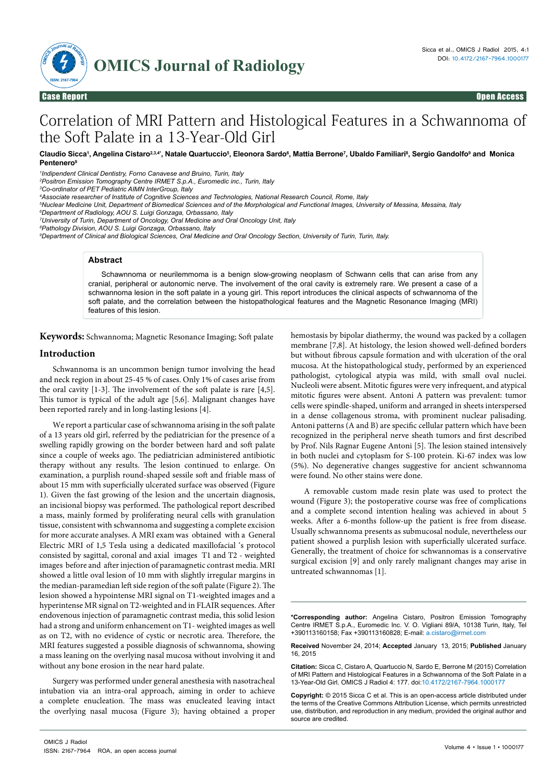

# Correlation of MRI Pattern and Histological Features in a Schwannoma of the Soft Palate in a 13-Year-Old Girl

### Claudio Sicca<sup>ı</sup>, Angelina Cistaro<sup>23,4</sup>', Natale Quartuccio<sup>s</sup>, Eleonora Sardo<sup>s</sup>, Mattia Berrone<sup>7</sup>, Ubaldo Familiari<sup>s</sup>, Sergio Gandolfo<sup>9</sup> and Monica **Pentenero9**

*1 Indipendent Clinical Dentistry, Forno Canavese and Bruino, Turin, Italy*

*2 Positron Emission Tomography Centre IRMET S.p.A., Euromedic inc., Turin, Italy*

*3 Co-ordinator of PET Pediatric AIMN InterGroup, Italy*

*4 Associate researcher of Institute of Cognitive Sciences and Technologies, National Research Council, Rome, Italy* 

*5 Nuclear Medicine Unit, Department of Biomedical Sciences and of the Morphological and Functional Images, University of Messina, Messina, Italy*

*6 Department of Radiology, AOU S. Luigi Gonzaga, Orbassano, Italy*

*7 University of Turin, Department of Oncology, Oral Medicine and Oral Oncology Unit, Italy*

*8 Pathology Division, AOU S. Luigi Gonzaga, Orbassano, Italy*

*9 Department of Clinical and Biological Sciences, Oral Medicine and Oral Oncology Section, University of Turin, Turin, Italy.*

## **Abstract**

Schawnnoma or neurilemmoma is a benign slow-growing neoplasm of Schwann cells that can arise from any cranial, peripheral or autonomic nerve. The involvement of the oral cavity is extremely rare. We present a case of a schwannoma lesion in the soft palate in a young girl. This report introduces the clinical aspects of schwannoma of the soft palate, and the correlation between the histopathological features and the Magnetic Resonance Imaging (MRI) features of this lesion.

**Keywords:** Schwannoma; Magnetic Resonance Imaging; Soft palate

## **Introduction**

Schwannoma is an uncommon benign tumor involving the head and neck region in about 25-45 % of cases. Only 1% of cases arise from the oral cavity [1-3]. The involvement of the soft palate is rare [4,5]. This tumor is typical of the adult age [5,6]. Malignant changes have been reported rarely and in long-lasting lesions [4].

We report a particular case of schwannoma arising in the soft palate of a 13 years old girl, referred by the pediatrician for the presence of a swelling rapidly growing on the border between hard and soft palate since a couple of weeks ago. The pediatrician administered antibiotic therapy without any results. The lesion continued to enlarge. On examination, a purplish round-shaped sessile soft and friable mass of about 15 mm with superficially ulcerated surface was observed (Figure 1). Given the fast growing of the lesion and the uncertain diagnosis, an incisional biopsy was performed. The pathological report described a mass, mainly formed by proliferating neural cells with granulation tissue, consistent with schwannoma and suggesting a complete excision for more accurate analyses. A MRI exam was obtained with a General Electric MRI of 1,5 Tesla using a dedicated maxillofacial 's protocol consisted by sagittal, coronal and axial images T1 and T2 - weighted images before and after injection of paramagnetic contrast media. MRI showed a little oval lesion of 10 mm with slightly irregular margins in the median-paramedian left side region of the soft palate (Figure 2). The lesion showed a hypointense MRI signal on T1-weighted images and a hyperintense MR signal on T2-weighted and in FLAIR sequences. After endovenous injection of paramagnetic contrast media, this solid lesion had a strong and uniform enhancement on T1- weighted images as well as on T2, with no evidence of cystic or necrotic area. Therefore, the MRI features suggested a possible diagnosis of schwannoma, showing a mass leaning on the overlying nasal mucosa without involving it and without any bone erosion in the near hard palate.

Surgery was performed under general anesthesia with nasotracheal intubation via an intra-oral approach, aiming in order to achieve a complete enucleation. The mass was enucleated leaving intact the overlying nasal mucosa (Figure 3); having obtained a proper

hemostasis by bipolar diathermy, the wound was packed by a collagen membrane [7,8]. At histology, the lesion showed well-defined borders but without fibrous capsule formation and with ulceration of the oral mucosa. At the histopathological study, performed by an experienced pathologist, cytological atypia was mild, with small oval nuclei. Nucleoli were absent. Mitotic figures were very infrequent, and atypical mitotic figures were absent. Antoni A pattern was prevalent: tumor cells were spindle-shaped, uniform and arranged in sheets interspersed in a dense collagenous stroma, with prominent nuclear palisading. Antoni patterns (A and B) are specific cellular pattern which have been recognized in the peripheral nerve sheath tumors and first described by Prof. Nils Ragnar Eugene Antoni [5]. The lesion stained intensively in both nuclei and cytoplasm for S-100 protein. Ki-67 index was low (5%). No degenerative changes suggestive for ancient schwannoma were found. No other stains were done.

A removable custom made resin plate was used to protect the wound (Figure 3); the postoperative course was free of complications and a complete second intention healing was achieved in about 5 weeks. After a 6-months follow-up the patient is free from disease. Usually schwannoma presents as submucosal nodule, nevertheless our patient showed a purplish lesion with superficially ulcerated surface. Generally, the treatment of choice for schwannomas is a conservative surgical excision [9] and only rarely malignant changes may arise in untreated schwannomas [1].

**\*Corresponding author:** Angelina Cistaro, Positron Emission Tomography Centre IRMET S.p.A., Euromedic Inc. V. O. Vigliani 89/A, 10138 Turin, Italy, Tel +390113160158; Fax +390113160828; E-mail: a.cistaro@irmet.com

**Received** November 24, 2014; **Accepted** January 13, 2015; **Published** January 16, 2015

**Citation:** Sicca C, Cistaro A, Quartuccio N, Sardo E, Berrone M (2015) Correlation of MRI Pattern and Histological Features in a Schwannoma of the Soft Palate in a 13-Year-Old Girl. OMICS J Radiol 4: 177. doi:10.4172/2167-7964.1000177

**Copyright:** © 2015 Sicca C et al. This is an open-access article distributed under the terms of the Creative Commons Attribution License, which permits unrestricted use, distribution, and reproduction in any medium, provided the original author and source are credited.